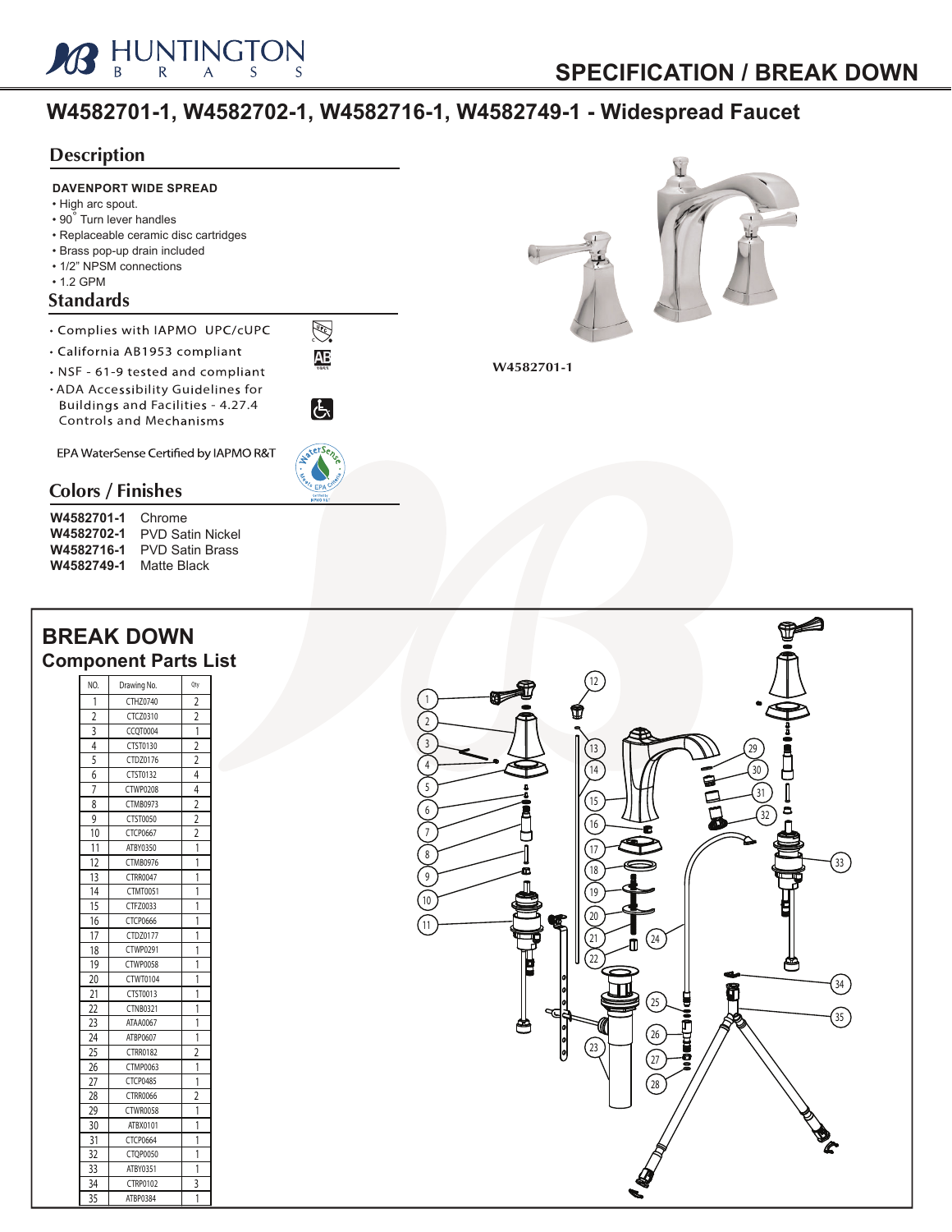

## **W4582701-1, W4582702-1, W4582716-1, W4582749-1 - Widespread Faucet**

## **Description**



## **BREAK DOWN Component Parts List**

| NO.                       | Drawing No.     | Qty                     |
|---------------------------|-----------------|-------------------------|
| 1                         | CTHZ0740        | 2                       |
| $\frac{1}{2}$             | CTCZ0310        | 2                       |
| $\overline{\overline{3}}$ | CCOT0004        | $\overline{\mathbf{1}}$ |
| 4                         | CTST0130        | $\overline{2}$          |
| 5                         | CTDZ0176        | $\overline{2}$          |
| 6                         | CTST0132        | 4                       |
| 7                         | <b>CTWP0208</b> | 4                       |
| 8                         | <b>CTMB0973</b> | $\overline{2}$          |
| 9                         | CTST0050        | $\overline{2}$          |
| 10                        | CTCP0667        | $\overline{2}$          |
| 11                        | ATBY0350        | 1                       |
| 12                        | <b>CTMB0976</b> | 1                       |
| 13                        | CTRR0047        | 1                       |
| 14                        | <b>CTMT0051</b> | 1                       |
| 15                        | CTFZ0033        | 1                       |
| 16                        | CTCP0666        | 1                       |
| 17                        | CTDZ0177        | 1                       |
| 18                        | CTWP0291        | 1                       |
| 19                        | <b>CTWP0058</b> | 1                       |
| 20                        | CTWT0104        | 1                       |
| 21                        | CTST0013        | 1                       |
| 22                        | <b>CTNB0321</b> | 1                       |
| 23                        | ATAA0067        | 1                       |
| 24                        | ATBP0607        | 1                       |
| 25                        | <b>CTRR0182</b> | $\overline{\mathbf{c}}$ |
| 26                        | <b>CTMP0063</b> | 1                       |
| 27                        | CTCP0485        | 1                       |
| 28                        | <b>CTRR0066</b> | 2                       |
| 29                        | <b>CTWR0058</b> | 1                       |
| 30                        | ATBX0101        | 1                       |
| 31                        | CTCP0664        | 1                       |
| 32                        | CTOP0050        | 1                       |
| 33                        | ATBY0351        | 1                       |
| 34                        | CTRP0102        | 3                       |
| 35                        | ATBP0384        | 1                       |